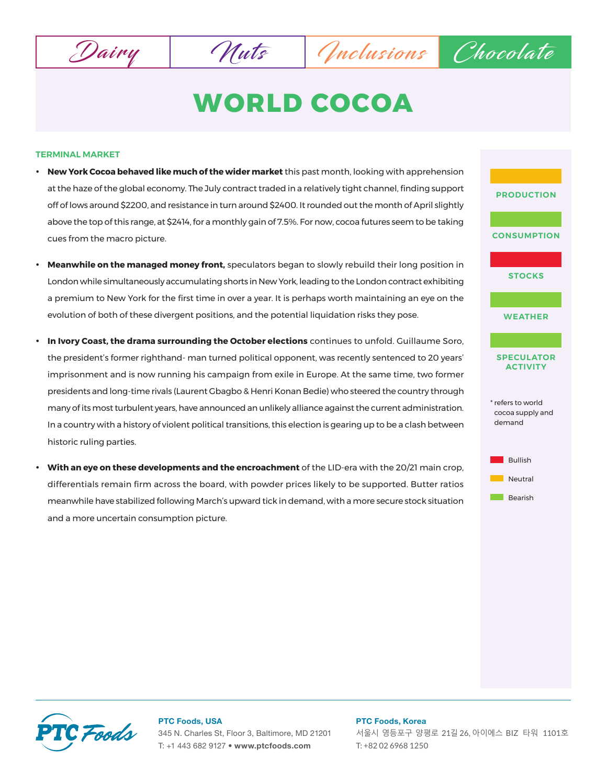Dairy Muts Muts Chocolate

# **WORLD COCOA**

## **TERMINAL MARKET**

- **New York Cocoa behaved like much of the wider market** this past month, looking with apprehension at the haze of the global economy. The July contract traded in a relatively tight channel, finding support off of lows around \$2200, and resistance in turn around \$2400. It rounded out the month of April slightly above the top of this range, at \$2414, for a monthly gain of 7.5%. For now, cocoa futures seem to be taking cues from the macro picture.
- **Meanwhile on the managed money front,** speculators began to slowly rebuild their long position in London while simultaneously accumulating shorts in New York, leading to the London contract exhibiting a premium to New York for the first time in over a year. It is perhaps worth maintaining an eye on the evolution of both of these divergent positions, and the potential liquidation risks they pose.
- **In Ivory Coast, the drama surrounding the October elections** continues to unfold. Guillaume Soro, the president's former righthand- man turned political opponent, was recently sentenced to 20 years' imprisonment and is now running his campaign from exile in Europe. At the same time, two former presidents and long-time rivals (Laurent Gbagbo & Henri Konan Bedie) who steered the country through many of its most turbulent years, have announced an unlikely alliance against the current administration. In a country with a history of violent political transitions, this election is gearing up to be a clash between historic ruling parties.
- **With an eye on these developments and the encroachment** of the LID-era with the 20/21 main crop, differentials remain firm across the board, with powder prices likely to be supported. Butter ratios meanwhile have stabilized following March's upward tick in demand, with a more secure stock situation and a more uncertain consumption picture.





## **PTC Foods, USA**

345 N. Charles St, Floor 3, Baltimore, MD 21201 T: +1 443 682 9127 • **www.ptcfoods.com**

#### **PTC Foods, Korea**

서울시 영등포구 양평로 21길 26, 아이에스 BIZ 타워 1101호 T: +82 02 6968 1250